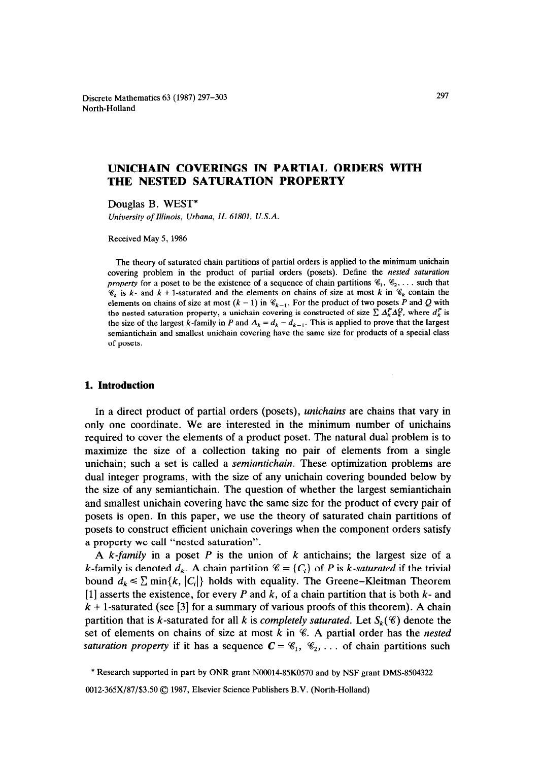Discrete Mathematics 63 (1987) 297-303 North-Holland

# **UNICHAIN COVERINGS IN PARTIAL ORDERS WITH THE NESTED SATURATION PROPERTY**

Douglas B. WEST\*

*University of Illinois, Urbana, IL 61801, U.S.A.* 

Received May 5, 1986

The theory of saturated chain partitions of partial orders is applied to the minimum unichain covering problem in the product of partial orders (posets). Define the *nested saturation property* for a poset to be the existence of a sequence of chain partitions  $\mathscr{C}_1$ ,  $\mathscr{C}_2$ , ... such that  $\mathscr{C}_k$  is k- and k + 1-saturated and the elements on chains of size at most k in  $\mathscr{C}_k$  contain the elements on chains of size at most  $(k - 1)$  in  $\mathcal{C}_{k-1}$ . For the product of two posets P and Q with the nested saturation property, a unichain covering is constructed of size  $\sum \Delta_k^P \Delta_k^Q$ , where  $d_k^P$  is the size of the largest k-family in P and  $\Delta_k = d_k - d_{k-1}$ . This is applied to prove that the largest semiantichain and smallest unichain covering have the same size for products of a special class of posets.

## **1. Introduction**

In a direct product of partial orders (posets), *unichains* are chains that vary in only one coordinate. We are interested in the minimum number of unichains required to cover the elements of a product poset. The natural dual problem is to maximize the size of a collection taking no pair of elements from a single unichain; such a set is called a *semiuntichain.* These optimization problems are dual integer programs, with the size of any unichain covering bounded below by the size of any semiantichain. The question of whether the largest semiantichain and smallest unichain covering have the same size for the product of every pair of posets is open. In this paper, we use the theory of saturated chain partitions of posets to construct efficient unichain coverings when the component orders satisfy a property we call "nested saturation".

A *k-family* in a poset *P* is the union of *k* antichains; the largest size of a k-family is denoted  $d_k$ . A chain partition  $\mathscr{C} = \{C_i\}$  of P is *k*-saturated if the trivial bound  $d_k \leq \sum \min\{k, |C_i|\}$  holds with equality. The Greene-Kleitman Theorem [l] asserts the existence, for every *P* and *k,* of a chain partition that is both *k-* and  $k + 1$ -saturated (see [3] for a summary of various proofs of this theorem). A chain partition that is k-saturated for all k is *completely saturated*. Let  $S_k(\mathscr{C})$  denote the set of elements on chains of size at most *k* in %. A partial order has the *nested saturation property* if it has a sequence  $C = \mathcal{C}_1, \mathcal{C}_2, \ldots$  of chain partitions such

<sup>\*</sup> Research supported in part by ONR grant NOOO14-85KO570 and by NSF grant DMS-8504322

<sup>0012-365</sup>X/87/\$3.50 © 1987, Elsevier Science Publishers B.V. (North-Holland)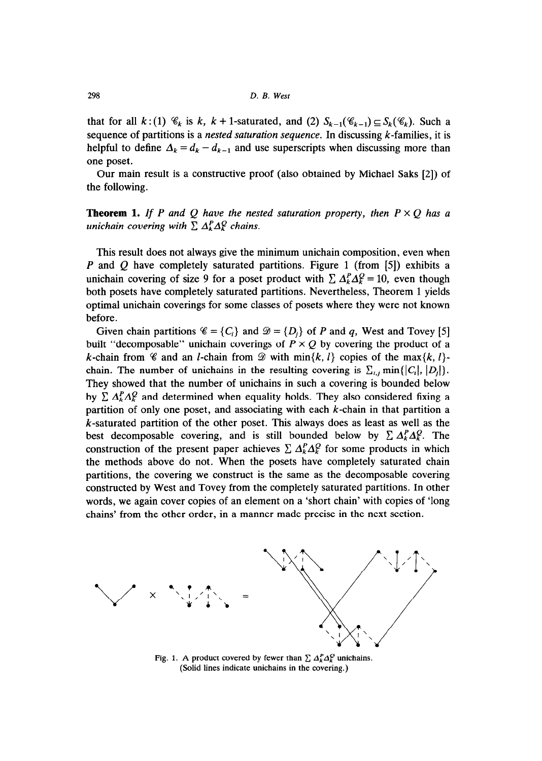that for all  $k: (1) \mathcal{C}_k$  is  $k, k+1$ -saturated, and (2)  $S_{k-1}(\mathcal{C}_{k-1}) \subseteq S_k(\mathcal{C}_k)$ . Such a sequence of partitions is a nested *saturation sequence.* In discussing k-families, it is helpful to define  $\Delta_k = d_k - d_{k-1}$  and use superscripts when discussing more than one poset.

Our main result is a constructive proof (also obtained by Michael Saks [2]) of the following.

## **Theorem 1.** If P and Q have the nested saturation property, then  $P \times Q$  has a *unichain covering with*  $\sum \Delta_k^P \Delta_k^Q$  *chains.*

This result does not always give the minimum unichain composition, even when *P* and *Q* have completely saturated partitions. Figure 1 (from [5]) exhibits a unichain covering of size 9 for a poset product with  $\sum A_k^P \Delta_k^Q = 10$ , even though both posets have completely saturated partitions. Nevertheless, Theorem 1 yields optimal unichain coverings for some classes of posets where they were not known before.

Given chain partitions  $\mathscr{C} = \{C_i\}$  and  $\mathscr{D} = \{D_i\}$  of *P* and *q*, West and Tovey [5] built "decomposable" unichain coverings of  $P \times Q$  by covering the product of a k-chain from  $\mathscr C$  and an *l*-chain from  $\mathscr D$  with  $\min\{k, l\}$  copies of the max $\{k, l\}$ chain. The number of unichains in the resulting covering is  $\sum_{i,j}$  min{ $|C_i|, |D_j|$ }. They showed that the number of unichains in such a covering is bounded below by  $\sum A_k^P \Delta_k^Q$  and determined when equality holds. They also considered fixing a partition of only one poset, and associating with each  $k$ -chain in that partition a k-saturated partition of the other poset. This always does as least as well as the best decomposable covering, and is still bounded below by  $\sum A_k^P \Delta_k^Q$ . The construction of the present paper achieves  $\sum A_k^P \Delta_k^Q$  for some products in which the methods above do not. When the posets have completely saturated chain partitions, the covering we construct is the same as the decomposable covering constructed by West and Tovey from the completely saturated partitions. In other words, we again cover copies of an element on a 'short chain' with copies of 'long chains' from the other order, in a manner made precise in the next section.



Fig. 1. A product covered by fewer than  $\sum \Delta_k^P \Delta_k^Q$  unichains. (Solid lines indicate unichains in the covering.)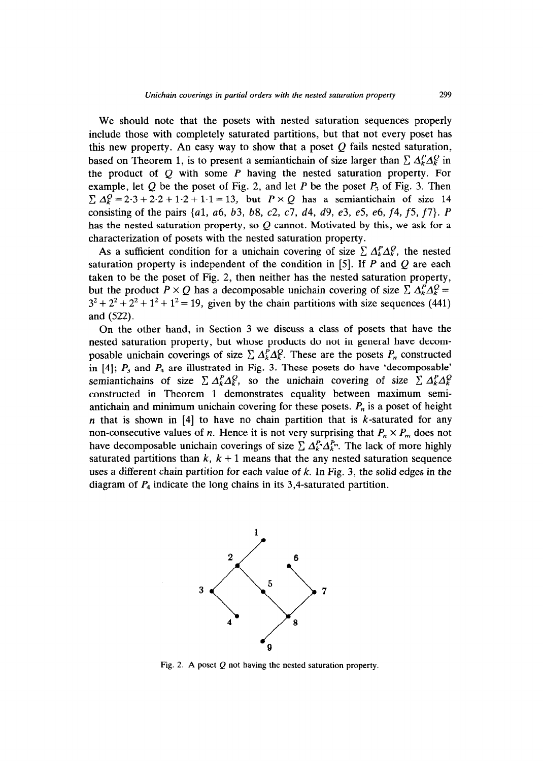We should note that the posets with nested saturation sequences properly include those with completely saturated partitions, but that not every poset has this new property. An easy way to show that a poset  $Q$  fails nested saturation, based on Theorem 1, is to present a semiantichain of size larger than  $\sum A_k^P \Delta_k^Q$  in the product of Q with some *P* having the nested saturation property. For example, let  $Q$  be the poset of Fig. 2, and let  $P$  be the poset  $P_3$  of Fig. 3. Then  $\sum \Delta_k^Q = 2.3 + 2.2 + 1.2 + 1.1 = 13$ , but  $P \times Q$  has a semiantichain of size 14 consisting of the pairs {al, ~6, *b3, b8,* c2, c7, *d4, d9, e3, e5, e6, f4, f5, f7). P*  has the nested saturation property, so  $Q$  cannot. Motivated by this, we ask for a characterization of posets with the nested saturation property.

As a sufficient condition for a unichain covering of size  $\sum A_k^P \Delta_k^P$ , the nested saturation property is independent of the condition in [5]. If *P* and Q are each taken to be the poset of Fig. 2, then neither has the nested saturation property, but the product  $P \times Q$  has a decomposable unichain covering of size  $\sum A_k^P A_k^Q =$  $3^2 + 2^2 + 2^2 + 1^2 + 1^2 = 19$ , given by the chain partitions with size sequences (441) and (522).

On the other hand, in Section 3 we discuss a class of posets that have the nested saturation property, but whose products do not in general have decomposable unichain coverings of size  $\sum A_k^P \Delta_k^Q$ . These are the posets  $P_n$  constructed in  $[4]$ ;  $P_3$  and  $P_4$  are illustrated in Fig. 3. These posets do have 'decomposable' semiantichains of size  $\sum A_k^P A_k^Q$ , so the unichain covering of size  $\sum A_k^P A_k^Q$ constructed in Theorem 1 demonstrates equality between maximum semiantichain and minimum unichain covering for these posets.  $P_n$  is a poset of height  $n$  that is shown in [4] to have no chain partition that is  $k$ -saturated for any non-consecutive values of *n*. Hence it is not very surprising that  $P_n \times P_m$  does not have decomposable unichain coverings of size  $\sum A_k^P \Delta_k^P$ . The lack of more highly saturated partitions than  $k$ ,  $k + 1$  means that the any nested saturation sequence uses a different chain partition for each value of *k.* In Fig. 3, the solid edges in the diagram of *P4* indicate the long chains in its 3,4-saturated partition.



Fig. 2. A poset  $Q$  not having the nested saturation property.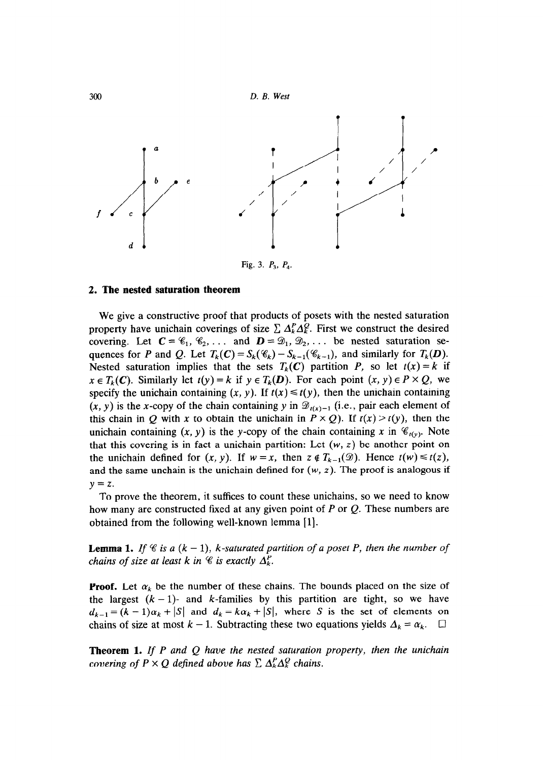

## **2. The nested saturation theorem**

We give a constructive proof that products of posets with the nested saturation property have unichain coverings of size  $\sum A_k^P \Delta_k^Q$ . First we construct the desired covering. Let  $C = \mathscr{C}_1, \mathscr{C}_2, \ldots$  and  $D = \mathscr{D}_1, \mathscr{D}_2, \ldots$  be nested saturation sequences for *P* and *Q*. Let  $T_k(C) = S_k(\mathcal{C}_k) - S_{k-1}(\mathcal{C}_{k-1})$ , and similarly for  $T_k(D)$ . Nested saturation implies that the sets  $T_k(C)$  partition *P*, so let  $t(x) = k$  if  $x \in T_k(C)$ . Similarly let  $t(y) = k$  if  $y \in T_k(D)$ . For each point  $(x, y) \in P \times Q$ , we specify the unichain containing  $(x, y)$ . If  $t(x) \leq t(y)$ , then the unichain containing  $(x, y)$  is the x-copy of the chain containing y in  $\mathcal{D}_{t(x)-1}$  (i.e., pair each element of this chain in Q with x to obtain the unichain in  $P \times Q$ ). If  $t(x) > t(y)$ , then the unichain containing  $(x, y)$  is the y-copy of the chain containing x in  $\mathcal{C}_{t(y)}$ . Note that this covering is in fact a unichain partition: Let  $(w, z)$  be another point on the unichain defined for  $(x, y)$ . If  $w = x$ , then  $z \notin T_{k-1}(\mathcal{D})$ . Hence  $t(w) \leq t(z)$ , and the same unchain is the unichain defined for  $(w, z)$ . The proof is analogous if  $y = z$ .

To prove the theorem, it suffices to count these unichains, so we need to know how many are constructed fixed at any given point of *P* or Q. These numbers are obtained from the following well-known lemma [l].

**Lemma 1.** *If*  $\mathscr C$  *is a*  $(k - 1)$ *, k-saturated partition of a poset P, then the number of chains of size at least k in*  $\mathscr C$  *is exactly*  $\Delta_k^P$ *.* 

**Proof.** Let  $\alpha_k$  be the number of these chains. The bounds placed on the size of the largest  $(k - 1)$ - and k-families by this partition are tight, so we have  $d_{k-1} = (k-1)\alpha_k + |S|$  and  $d_k = k\alpha_k + |S|$ , where S is the set of elements on chains of size at most  $k - 1$ . Subtracting these two equations yields  $\Delta_k = \alpha_k$ .  $\square$ 

**Theorem 1.** If P and Q have the nested saturation property, then the unichain *covering of P*  $\times$  *Q defined above has*  $\sum \Delta_k^P \Delta_k^Q$  *chains.*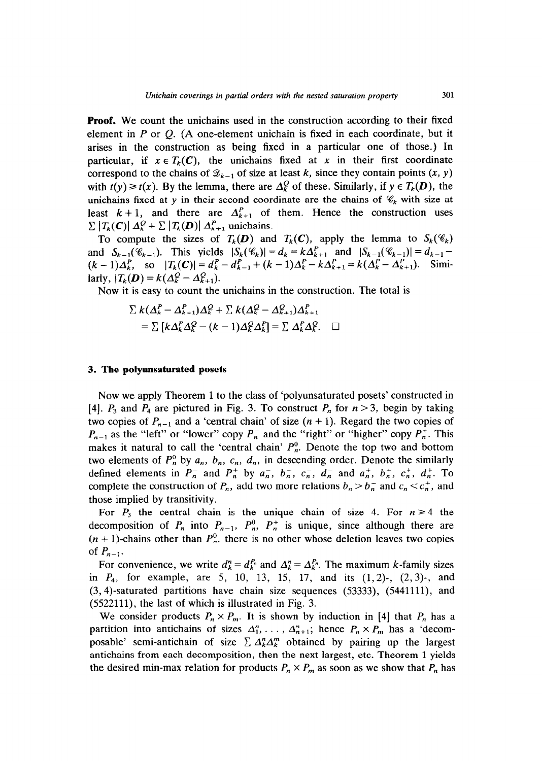**Proof.** We count the unichains used in the construction according to their fixed element in *P* or Q. (A one-element unichain is fixed in each coordinate, but it arises in the construction as being fixed in a particular one of those.) In particular, if  $x \in T_k(C)$ , the unichains fixed at x in their first coordinate correspond to the chains of  $\mathcal{D}_{k-1}$  of size at least *k*, since they contain points  $(x, y)$ with  $t(y) \ge t(x)$ . By the lemma, there are  $\Delta_k^Q$  of these. Similarly, if  $y \in T_k(D)$ , the unichains fixed at y in their second coordinate are the chains of  $\mathcal{C}_k$  with size at least  $k + 1$ , and there are  $\Delta_{k+1}^P$  of them. Hence the construction uses  $\sum |T_k(C)| \Delta_k^Q + \sum |T_k(D)| \Delta_{k+1}^P$  unichains.

To compute the sizes of  $T_k(D)$  and  $T_k(C)$ , apply the lemma to  $S_k(\mathscr{C}_k)$ and  $S_{k-1}(\mathscr{C}_{k-1})$ . This yields  $|S_k(\mathscr{C}_k)| = d_k = k\Delta_{k+1}^P$  and  $|S_{k-1}(\mathscr{C}_{k-1})| = d_{k-1}$  $(k-1)\Delta_k^P$ , so  $|T_k(C)| = d_k^P - d_{k-1}^P + (k-1)\Delta_k^P - k\Delta_{k+1}^P = k(\Delta_k^P - \Delta_{k+1}^P)$ . Similarly,  $|T_k(\mathbf{D}) = k(\Delta_k^Q - \Delta_{k+1}^Q).$ 

*Now* it is easy to count the unichains in the construction. The total is

$$
\sum k(\Delta_k^P - \Delta_{k+1}^P)\Delta_k^Q + \sum k(\Delta_k^Q - \Delta_{k+1}^P)\Delta_{k+1}^P
$$
  
= 
$$
\sum [k\Delta_k^P\Delta_k^Q - (k-1)\Delta_k^Q\Delta_k^P] = \sum \Delta_k^P\Delta_k^Q.
$$

#### *3.* **The polyunsaturated posets**

Now we apply Theorem 1 to the class of 'polyunsaturated posets' constructed in [4].  $P_3$  and  $P_4$  are pictured in Fig. 3. To construct  $P_n$  for  $n > 3$ , begin by taking two copies of  $P_{n-1}$  and a 'central chain' of size  $(n + 1)$ . Regard the two copies of  $P_{n-1}$  as the "left" or "lower" copy  $P_n^-$  and the "right" or "higher" copy  $P_n^+$ . This makes it natural to call the 'central chain'  $P_n^0$ . Denote the top two and bottom two elements of  $P_n^0$  by  $a_n$ ,  $b_n$ ,  $c_n$ ,  $d_n$ , in descending order. Denote the similarly defined elements in  $P_n^-$  and  $P_n^+$  by  $a_n^-$ ,  $b_n^-$ ,  $c_n^-$ ,  $d_n^-$  and  $a_n^+$ ,  $b_n^+$ ,  $c_n^+$ ,  $d_n^+$ . To complete the construction of  $P_n$ , add two more relations  $b_n > b_n^-$  and  $c_n < c_n^+$ , and those implied by transitivity.

For  $P_3$  the central chain is the unique chain of size 4. For  $n \ge 4$  the decomposition of  $P_n$  into  $P_{n-1}$ ,  $P_n^0$ ,  $P_n^+$  is unique, since although there are  $(n + 1)$ -chains other than  $P_n^0$ , there is no other whose deletion leaves two copies of  $P_{n-1}$ .

For convenience, we write  $d_k^n = d_k^{P_n}$  and  $\Delta_k^n = \Delta_k^{P_n}$ . The maximum k-family sizes in *P4,* for example, are 5, 10, 13, 15, 17, and its (1,2)-, (2,3)-, and (3,4)-saturated partitions have chain size sequences (53333), (5441111), and (5522111), the last of which is illustrated in Fig. 3.

We consider products  $P_n \times P_m$ . It is shown by induction in [4] that  $P_n$  has a partition into antichains of sizes  $\Delta_1^n, \ldots, \Delta_{n+1}^n$ ; hence  $P_n \times P_m$  has a 'decomposable' semi-antichain of size  $\sum A_k^n \Delta_k^m$  obtained by pairing up the largest antichains from each decomposition, then the next largest, etc. Theorem 1 yields the desired min-max relation for products  $P_n \times P_m$  as soon as we show that  $P_n$  has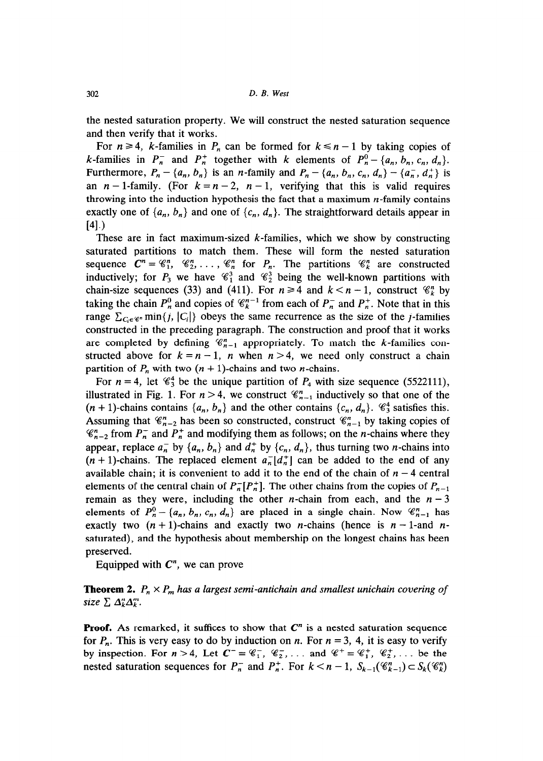the nested saturation property. We will construct the nested saturation sequence and then verify that it works.

For  $n \geq 4$ , *k*-families in *P<sub>n</sub>* can be formed for  $k \leq n - 1$  by taking copies of *k*-families in  $P_n^-$  and  $P_n^+$  together with *k* elements of  $P_n^0 - \{a_n, b_n, c_n, d_n\}$ . Furthermore,  $P_n - \{a_n, b_n\}$  is an *n*-family and  $P_n - \{a_n, b_n, c_n, d_n\} - \{a_n^-, d_n^+\}$  is an  $n-1$ -family. (For  $k = n-2$ ,  $n-1$ , verifying that this is valid requires throwing into the induction hypothesis the fact that a maximum  $n$ -family contains exactly one of  $\{a_n, b_n\}$  and one of  $\{c_n, d_n\}$ . The straightforward details appear in  $[4]$ .)

These are in fact maximum-sized  $k$ -families, which we show by constructing saturated partitions to match them. These will form the nested saturation sequence  $C^n = \mathcal{C}_1^n$ ,  $\mathcal{C}_2^n$ , ...,  $\mathcal{C}_n^n$  for  $P_n$ . The partitions  $\mathcal{C}_k^n$  are constructed inductively; for  $P_3$  we have  $\mathcal{C}_1^3$  and  $\mathcal{C}_2^3$  being the well-known partitions with chain-size sequences (33) and (411). For  $n \ge 4$  and  $k < n - 1$ , construct  $\mathcal{C}_k^n$  by taking the chain  $P_n^0$  and copies of  $\mathcal{C}_k^{n-1}$  from each of  $P_n^-$  and  $P_n^+$ . Note that in this range  $\sum_{C_i \in \mathscr{C}^n}$  min $\{j, |C_i|\}$  obeys the same recurrence as the size of the j-families constructed in the preceding paragraph. The construction and proof that it works are completed by defining  $\mathcal{C}_{n-1}^n$  appropriately. To match the k-families constructed above for  $k = n - 1$ , *n* when  $n > 4$ , we need only construct a chain partition of  $P_n$  with two  $(n + 1)$ -chains and two *n*-chains.

For  $n = 4$ , let  $\mathcal{C}_3^4$  be the unique partition of  $P_4$  with size sequence (5522111), illustrated in Fig. 1. For  $n > 4$ , we construct  $\mathcal{C}_{n-1}^n$  inductively so that one of the  $(n + 1)$ -chains contains  $\{a_n, b_n\}$  and the other contains  $\{c_n, d_n\}$ .  $\mathcal{C}_3^4$  satisfies this. Assuming that  $\mathcal{C}_{n-2}^n$  has been so constructed, construct  $\mathcal{C}_{n-1}^n$  by taking copies of  $\mathscr{C}_{n-2}^n$  from  $P_n^-$  and  $P_n^+$  and modifying them as follows; on the *n*-chains where they appear, replace  $a_n$  by  $\{a_n, b_n\}$  and  $d_n$  by  $\{c_n, d_n\}$ , thus turning two *n*-chains into  $(n + 1)$ -chains. The replaced element  $a_n^{-1}(d_n^{+})$  can be added to the end of any available chain; it is convenient to add it to the end of the chain of  $n - 4$  central elements of the central chain of  $P_n^-[P_n^+]$ . The other chains from the copies of  $P_{n-1}$ remain as they were, including the other *n*-chain from each, and the  $n-3$ elements of  $P_n^0 - \{a_n, b_n, c_n, d_n\}$  are placed in a single chain. Now  $\mathcal{C}_{n-1}^n$  has exactly two  $(n + 1)$ -chains and exactly two *n*-chains (hence is  $n - 1$ -and *n*saturated), and the hypothesis about membership on the longest chains has been preserved.

Equipped with  $C<sup>n</sup>$ , we can prove

**Theorem 2.**  $P_n \times P_m$  has a largest semi-antichain and smallest unichain covering of *size*  $\sum \Delta_k^n \Delta_k^m$ .

**Proof.** As remarked, it suffices to show that  $C<sup>n</sup>$  is a nested saturation sequence for  $P_n$ . This is very easy to do by induction on *n*. For  $n = 3$ , 4, it is easy to verify by inspection. For  $n > 4$ , Let  $C^- = \mathcal{C}_1^-$ ,  $\mathcal{C}_2^-$ , ... and  $\mathcal{C}_1^+ = \mathcal{C}_1^+$ ,  $\mathcal{C}_2^+$ , ... be the nested saturation sequences for  $P_n^-$  and  $P_n^+$ . For  $k < n - 1$ ,  $S_{k-1}(\mathcal{C}_{k-1}^n) \subset S_k(\mathcal{C}_k^n)$